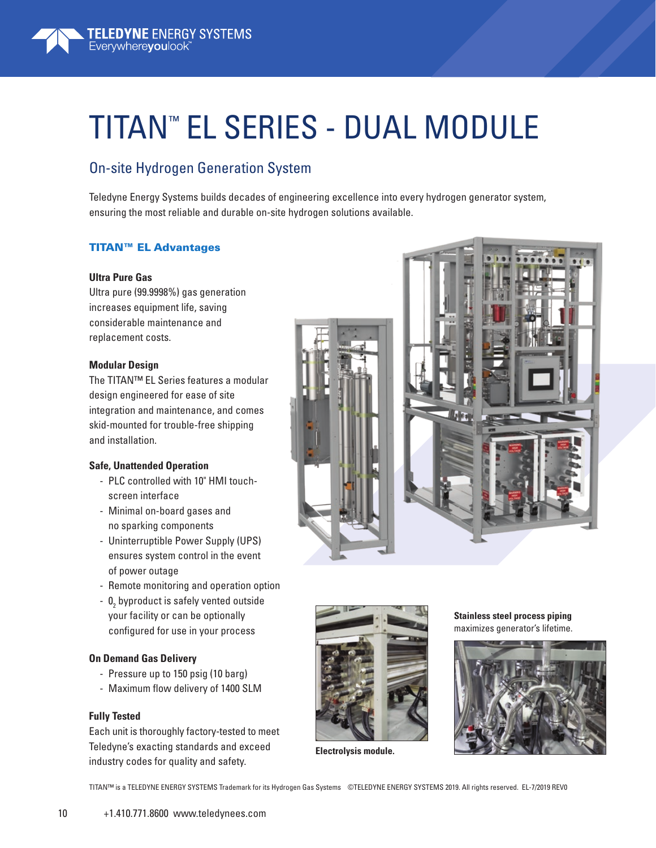

# TITAN™ EL SERIES - DUAL MODULE

### On-site Hydrogen Generation System

Teledyne Energy Systems builds decades of engineering excellence into every hydrogen generator system, ensuring the most reliable and durable on-site hydrogen solutions available.

#### TITAN™ EL Advantages

#### **Ultra Pure Gas**

Ultra pure (99.9998%) gas generation increases equipment life, saving considerable maintenance and replacement costs.

#### **Modular Design**

The TITAN™ EL Series features a modular design engineered for ease of site integration and maintenance, and comes skid-mounted for trouble-free shipping and installation.

#### **Safe, Unattended Operation**

- PLC controlled with 10" HMI touchscreen interface
- Minimal on-board gases and no sparking components
- Uninterruptible Power Supply (UPS) ensures system control in the event of power outage
- Remote monitoring and operation option
- $0<sub>2</sub>$  byproduct is safely vented outside your facility or can be optionally configured for use in your process

#### **On Demand Gas Delivery**

- Pressure up to 150 psig (10 barg)
- Maximum flow delivery of 1400 SLM

#### **Fully Tested**

Each unit is thoroughly factory-tested to meet Teledyne's exacting standards and exceed industry codes for quality and safety.





**Electrolysis module.**

**Stainless steel process piping** maximizes generator's lifetime.



TITAN™ is a TELEDYNE ENERGY SYSTEMS Trademark for its Hydrogen Gas Systems ©TELEDYNE ENERGY SYSTEMS 2019. All rights reserved. EL-7/2019 REV0